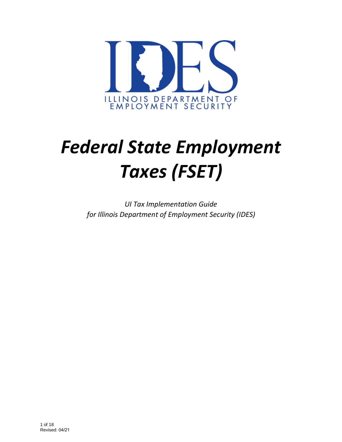

# *Federal State Employment Taxes (FSET)*

*UI Tax Implementation Guide for Illinois Department of Employment Security (IDES)*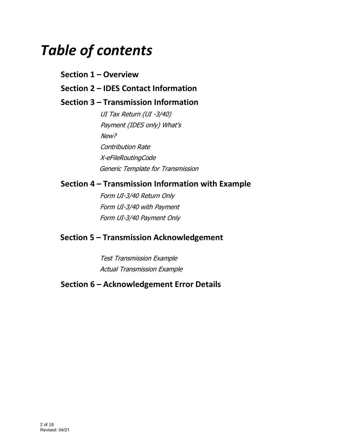# *Table of contents*

# **Section 1 – Overview**

# **Section 2 – IDES Contact Information**

# **Section 3 – Transmission Information**

UI Tax Return (UI -3/40) Payment (IDES only) What's New? Contribution Rate X-eFileRoutingCode Generic Template for Transmission

## **Section 4 – Transmission Information with Example**

Form UI-3/40 Return Only Form UI-3/40 with Payment Form UI-3/40 Payment Only

# **Section 5 – Transmission Acknowledgement**

Test Transmission Example Actual Transmission Example

# **Section 6 – Acknowledgement Error Details**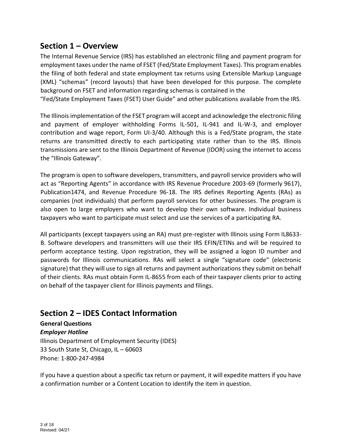# **Section 1 – Overview**

The Internal Revenue Service (IRS) has established an electronic filing and payment program for employment taxes under the name of FSET (Fed/State Employment Taxes). This program enables the filing of both federal and state employment tax returns using Extensible Markup Language (XML) "schemas" (record layouts) that have been developed for this purpose. The complete background on FSET and information regarding schemas is contained in the

"Fed/State Employment Taxes (FSET) User Guide" and other publications available from the IRS.

The Illinois implementation of the FSET program will accept and acknowledge the electronic filing and payment of employer withholding Forms IL-501, IL-941 and IL-W-3, and employer contribution and wage report, Form UI-3/40. Although this is a Fed/State program, the state returns are transmitted directly to each participating state rather than to the IRS. Illinois transmissions are sent to the Illinois Department of Revenue (IDOR) using the internet to access the "Illinois Gateway".

The program is open to software developers, transmitters, and payroll service providers who will act as "Reporting Agents" in accordance with IRS Revenue Procedure 2003-69 (formerly 9617), Publication1474, and Revenue Procedure 96-18. The IRS defines Reporting Agents (RAs) as companies (not individuals) that perform payroll services for other businesses. The program is also open to large employers who want to develop their own software. Individual business taxpayers who want to participate must select and use the services of a participating RA.

All participants (except taxpayers using an RA) must pre-register with Illinois using Form IL8633- B. Software developers and transmitters will use their IRS EFIN/ETINs and will be required to perform acceptance testing. Upon registration, they will be assigned a logon ID number and passwords for Illinois communications. RAs will select a single "signature code" (electronic signature) that they will use to sign all returns and payment authorizations they submit on behalf of their clients. RAs must obtain Form IL-8655 from each of their taxpayer clients prior to acting on behalf of the taxpayer client for Illinois payments and filings.

# **Section 2 – IDES Contact Information**

**General Questions**  *Employer Hotline* Illinois Department of Employment Security (IDES) 33 South State St, Chicago, IL – 60603 Phone: 1-800-247-4984

If you have a question about a specific tax return or payment, it will expedite matters if you have a confirmation number or a Content Location to identify the item in question.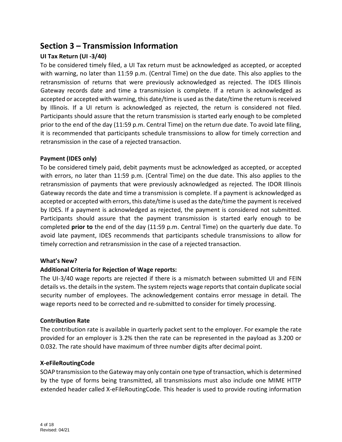# **Section 3 – Transmission Information**

#### **UI Tax Return (UI -3/40)**

To be considered timely filed, a UI Tax return must be acknowledged as accepted, or accepted with warning, no later than 11:59 p.m. (Central Time) on the due date. This also applies to the retransmission of returns that were previously acknowledged as rejected. The IDES Illinois Gateway records date and time a transmission is complete. If a return is acknowledged as accepted or accepted with warning, this date/time is used as the date/time the return is received by Illinois. If a UI return is acknowledged as rejected, the return is considered not filed. Participants should assure that the return transmission is started early enough to be completed prior to the end of the day (11:59 p.m. Central Time) on the return due date. To avoid late filing, it is recommended that participants schedule transmissions to allow for timely correction and retransmission in the case of a rejected transaction.

#### **Payment (IDES only)**

To be considered timely paid, debit payments must be acknowledged as accepted, or accepted with errors, no later than 11:59 p.m. (Central Time) on the due date. This also applies to the retransmission of payments that were previously acknowledged as rejected. The IDOR Illinois Gateway records the date and time a transmission is complete. If a payment is acknowledged as accepted or accepted with errors, this date/time is used as the date/time the payment is received by IDES. If a payment is acknowledged as rejected, the payment is considered not submitted. Participants should assure that the payment transmission is started early enough to be completed **prior to** the end of the day (11:59 p.m. Central Time) on the quarterly due date. To avoid late payment, IDES recommends that participants schedule transmissions to allow for timely correction and retransmission in the case of a rejected transaction.

#### **What's New?**

#### **Additional Criteria for Rejection of Wage reports:**

The UI-3/40 wage reports are rejected if there is a mismatch between submitted UI and FEIN details vs. the details in the system. The system rejects wage reports that contain duplicate social security number of employees. The acknowledgement contains error message in detail. The wage reports need to be corrected and re-submitted to consider for timely processing.

#### **Contribution Rate**

The contribution rate is available in quarterly packet sent to the employer. For example the rate provided for an employer is 3.2% then the rate can be represented in the payload as 3.200 or 0.032. The rate should have maximum of three number digits after decimal point.

#### **X-eFileRoutingCode**

SOAP transmission to the Gateway may only contain one type of transaction, which is determined by the type of forms being transmitted, all transmissions must also include one MIME HTTP extended header called X-eFileRoutingCode. This header is used to provide routing information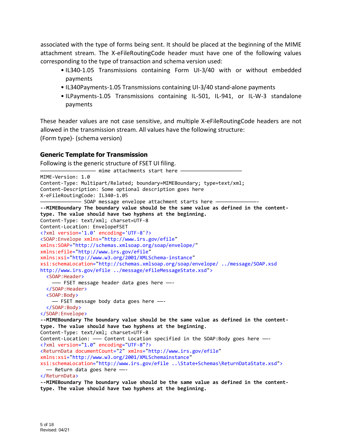associated with the type of forms being sent. It should be placed at the beginning of the MIME attachment stream. The X-eFileRoutingCode header must have one of the following values corresponding to the type of transaction and schema version used:

- IL340-1.05 Transmissions containing Form UI-3/40 with or without embedded payments
- IL340Payments-1.05 Transmissions containing UI-3/40 stand-alone payments
- ILPayments-1.05 Transmissions containing IL-501, IL-941, or IL-W-3 standalone payments

These header values are not case sensitive, and multiple X-eFileRoutingCode headers are not allowed in the transmission stream. All values have the following structure:

(Form type)- (schema version)

#### **Generic Template for Transmission**

Following is the generic structure of FSET UI filing. — mime attachments start here — MIME-Version: 1.0 Content-Type: Multipart/Related; boundary=MIMEBoundary; type=text/xml; Content-Description: Some optional description goes here X-eFileRoutingCode: IL340-1.05 - SOAP message envelope attachment starts here -**--MIMEBoundary The boundary value should be the same value as defined in the contenttype. The value should have two hyphens at the beginning.** Content-Type: text/xml; charset=UTF-8 Content-Location: EnvelopeFSET <?xml version='1.0' encoding='UTF-8'?> <SOAP:Envelope xmlns="http://www.irs.gov/efile" xmlns:SOAP="http://schemas.xmlsoap.org/soap/envelope/" xmlns:efile="http://www.irs.gov/efile" xmlns:xsi="http://www.w3.org/2001/XMLSchema-instance" xsi:schemaLocation="http://schemas.xmlsoap.org/soap/envelope/ ../message/SOAP.xsd http://www.irs.gov/efile ../message/efileMessageState.xsd"> <SOAP:Header> ——— FSET message header data goes here ——- </SOAP:Header> <SOAP:Body> —— FSET message body data goes here ——- </SOAP:Body> </SOAP:Envelope> **--MIMEBoundary The boundary value should be the same value as defined in the contenttype. The value should have two hyphens at the beginning**. Content-Type: text/xml; charset=UTF-8 Content-Location: - Content Location specified in the SOAP:Body goes here -<?xml version="1.0" encoding="UTF-8"?> <ReturnData documentCount="2" xmlns="http://www.irs.gov/efile" xmlns:xsi="http://www.w3.org/2001/XMLSchemainstance" xsi:schemaLocation="http://www.irs.gov/efile ..\State+Schemas\ReturnDataState.xsd"> —— Return data goes here ——- </ReturnData> **--MIMEBoundary The boundary value should be the same value as defined in the content-**

**type. The value should have two hyphens at the beginning.**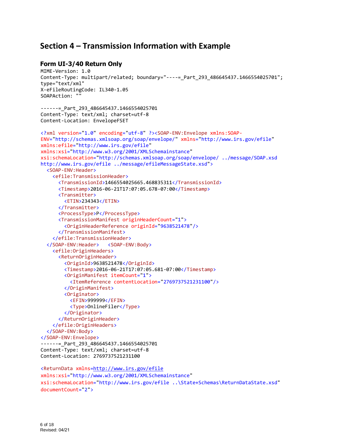### **Section 4 – Transmission Information with Example**

#### **Form UI-3/40 Return Only**

```
MIME-Version: 1.0 
Content-Type: multipart/related; boundary="----=_Part_293_486645437.1466554025701"; 
type="text/xml" 
X-eFileRoutingCode: IL340-1.05
SOAPAction: ""
------ Part 293 486645437.1466554025701
Content-Type: text/xml; charset=utf-8 
Content-Location: EnvelopeFSET 
<?xml version="1.0" encoding="utf-8" ?><SOAP-ENV:Envelope xmlns:SOAP-
ENV="http://schemas.xmlsoap.org/soap/envelope/" xmlns="http://www.irs.gov/efile"
xmlns:efile="http://www.irs.gov/efile"
xmlns:xsi="http://www.w3.org/2001/XMLSchemainstance"
xsi:schemaLocation="http://schemas.xmlsoap.org/soap/envelope/ ../message/SOAP.xsd 
http://www.irs.gov/efile ../message/efileMessageState.xsd"> 
   <SOAP-ENV:Header> 
     <efile:TransmissionHeader> 
      <TransmissionId>1466554025665.468835311</TransmissionId> 
      <Timestamp>2016-06-21T17:07:05.678-07:00</Timestamp> 
      <Transmitter> 
         <ETIN>234343</ETIN> 
      </Transmitter> 
      <ProcessType>P</ProcessType>
      <TransmissionManifest originHeaderCount="1"> 
         <OriginHeaderReference originId="9638521478"/> 
      </TransmissionManifest> 
     </efile:TransmissionHeader> 
   </SOAP-ENV:Header> <SOAP-ENV:Body> 
     <efile:OriginHeaders> 
      <ReturnOriginHeader> 
         <OriginId>9638521478</OriginId> 
         <Timestamp>2016-06-21T17:07:05.681-07:00</Timestamp> 
         <OriginManifest itemCount="1"> 
           <ItemReference contentLocation="2769737521231100"/> 
         </OriginManifest> 
         <Originator> 
           <EFIN>999999</EFIN> 
           <Type>OnlineFiler</Type> 
         </Originator> 
      </ReturnOriginHeader> 
     </efile:OriginHeaders> 
   </SOAP-ENV:Body> 
</SOAP-ENV:Envelope> 
------ Part 293 486645437.1466554025701
Content-Type: text/xml; charset=utf-8 
Content-Location: 2769737521231100 
<ReturnData xmlns=http://www.irs.gov/efile 
xmlns:xsi="http://www.w3.org/2001/XMLSchemainstance"
```

```
xsi:schemaLocation="http://www.irs.gov/efile ..\State+Schemas\ReturnDataState.xsd"
documentCount="2">
```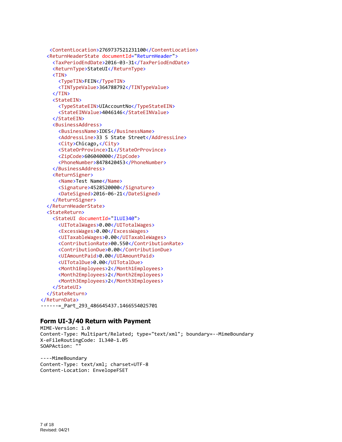```
 <ContentLocation>2769737521231100</ContentLocation> 
   <ReturnHeaderState documentId="ReturnHeader"> 
     <TaxPeriodEndDate>2016-03-31</TaxPeriodEndDate> 
     <ReturnType>StateUI</ReturnType> 
     <TIN> 
      <TypeTIN>FEIN</TypeTIN> 
      <TINTypeValue>364788792</TINTypeValue> 
     </TIN> 
     <StateEIN> 
      <TypeStateEIN>UIAccountNo</TypeStateEIN> 
      <StateEINValue>4046146</StateEINValue> 
     </StateEIN> 
     <BusinessAddress> 
      <BusinessName>IDES</BusinessName> 
      <AddressLine>33 S State Street</AddressLine> 
      <City>Chicago,</City> 
      <StateOrProvince>IL</StateOrProvince> 
      <ZipCode>606040000</ZipCode> 
      <PhoneNumber>8478420453</PhoneNumber> 
     </BusinessAddress> 
     <ReturnSigner> 
      <Name>Test Name</Name> 
      <Signature>4528520000</Signature> 
      <DateSigned>2016-06-21</DateSigned> 
     </ReturnSigner> 
   </ReturnHeaderState> 
   <StateReturn> 
     <StateUI documentId="ILUI340"> 
      <UITotalWages>0.00</UITotalWages> 
      <ExcessWages>0.00</ExcessWages> 
      <UITaxableWages>0.00</UITaxableWages> 
      <ContributionRate>00.550</ContributionRate> 
      <ContributionDue>0.00</ContributionDue> 
      <UIAmountPaid>0.00</UIAmountPaid> 
      <UITotalDue>0.00</UITotalDue> 
      <Month1Employees>2</Month1Employees> 
      <Month2Employees>2</Month2Employees> 
      <Month3Employees>2</Month3Employees> 
     </StateUI> 
   </StateReturn> 
</ReturnData> 
------=_Part_293_486645437.1466554025701
```
#### **Form UI-3/40 Return with Payment**

```
MIME-Version: 1.0 
Content-Type: Multipart/Related; type="text/xml"; boundary=--MimeBoundary 
X-eFileRoutingCode: IL340-1.05
SOAPAction: ""
```
----MimeBoundary Content-Type: text/xml; charset=UTF-8 Content-Location: EnvelopeFSET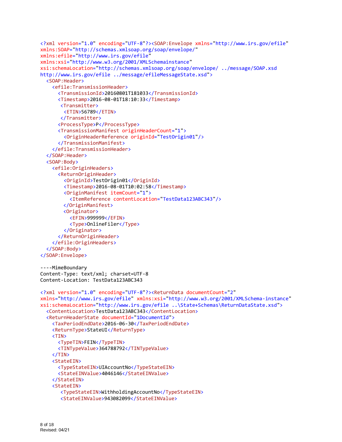```
<?xml version="1.0" encoding="UTF-8"?><SOAP:Envelope xmlns="http://www.irs.gov/efile"
xmlns:SOAP="http://schemas.xmlsoap.org/soap/envelope/"
xmlns:efile="http://www.irs.gov/efile"
xmlns:xsi="http://www.w3.org/2001/XMLSchemainstance"
xsi:schemaLocation="http://schemas.xmlsoap.org/soap/envelope/ ../message/SOAP.xsd 
http://www.irs.gov/efile ../message/efileMessageState.xsd"> 
   <SOAP:Header> 
     <efile:TransmissionHeader> 
      <TransmissionId>20160801T181033</TransmissionId> 
      <Timestamp>2016-08-01T18:10:33</Timestamp> 
       <Transmitter> 
         <ETIN>56789</ETIN> 
       </Transmitter> 
      <ProcessType>P</ProcessType> 
      <TransmissionManifest originHeaderCount="1"> 
         <OriginHeaderReference originId="TestOrigin01"/> 
      </TransmissionManifest> 
     </efile:TransmissionHeader> 
   </SOAP:Header> 
   <SOAP:Body> 
     <efile:OriginHeaders> 
      <ReturnOriginHeader> 
         <OriginId>TestOrigin01</OriginId> 
         <Timestamp>2016-08-01T10:02:58</Timestamp> 
         <OriginManifest itemCount="1"> 
           <ItemReference contentLocation="TestData123ABC343"/> 
        </OriginManifest> 
        <Originator> 
           <EFIN>999999</EFIN> 
           <Type>OnlineFiler</Type> 
         </Originator> 
      </ReturnOriginHeader> 
     </efile:OriginHeaders> 
   </SOAP:Body> 
</SOAP:Envelope> 
----MimeBoundary 
Content-Type: text/xml; charset=UTF-8 
Content-Location: TestData123ABC343 
<?xml version="1.0" encoding="UTF-8"?><ReturnData documentCount="2"
xmlns="http://www.irs.gov/efile" xmlns:xsi="http://www.w3.org/2001/XMLSchema-instance"
xsi:schemaLocation="http://www.irs.gov/efile ..\State+Schemas\ReturnDataState.xsd"> 
   <ContentLocation>TestData123ABC343</ContentLocation> 
   <ReturnHeaderState documentId="1DocumentId"> 
     <TaxPeriodEndDate>2016-06-30</TaxPeriodEndDate> 
     <ReturnType>StateUI</ReturnType> 
     <TIN> 
      <TypeTIN>FEIN</TypeTIN> 
      <TINTypeValue>364788792</TINTypeValue> 
     </TIN> 
     <StateEIN> 
      <TypeStateEIN>UIAccountNo</TypeStateEIN> 
      <StateEINValue>4046146</StateEINValue> 
     </StateEIN> 
     <StateEIN> 
       <TypeStateEIN>WithholdingAccountNo</TypeStateEIN> 
       <StateEINValue>943082099</StateEINValue>
```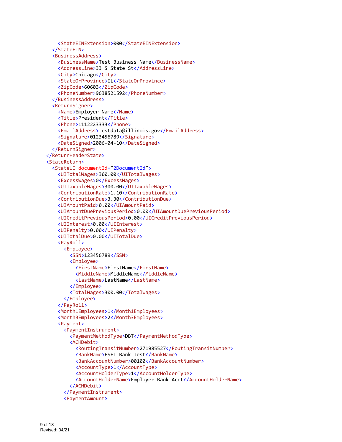```
 <StateEINExtension>000</StateEINExtension> 
   </StateEIN> 
   <BusinessAddress> 
    <BusinessName>Test Business Name</BusinessName> 
    <AddressLine>33 S State St</AddressLine> 
    <City>Chicago</City> 
    <StateOrProvince>IL</StateOrProvince> 
    <ZipCode>60603</ZipCode> 
    <PhoneNumber>9638521592</PhoneNumber> 
   </BusinessAddress> 
   <ReturnSigner> 
    <Name>Employer Name</Name> 
    <Title>President</Title> 
    <Phone>1112223333</Phone> 
    <EmailAddress>testdata@illinois.gov</EmailAddress> 
    <Signature>0123456789</Signature> 
    <DateSigned>2006-04-10</DateSigned> 
   </ReturnSigner> 
 </ReturnHeaderState> 
 <StateReturn> 
   <StateUI documentId="2DocumentId"> 
    <UITotalWages>300.00</UITotalWages> 
    <ExcessWages>0</ExcessWages> 
    <UITaxableWages>300.00</UITaxableWages> 
    <ContributionRate>1.10</ContributionRate> 
    <ContributionDue>3.30</ContributionDue> 
    <UIAmountPaid>0.00</UIAmountPaid> 
    <UIAmountDuePreviousPeriod>0.00</UIAmountDuePreviousPeriod> 
    <UICreditPreviousPeriod>0.00</UICreditPreviousPeriod> 
    <UIInterest>0.00</UIInterest> 
    <UIPenalty>0.00</UIPenalty> 
    <UITotalDue>0.00</UITotalDue> 
    <PayRoll> 
       <Employee> 
         <SSN>123456789</SSN> 
         <Employee> 
           <FirstName>FirstName</FirstName> 
           <MiddleName>MiddleName</MiddleName> 
           <LastName>LastName</LastName> 
         </Employee> 
         <TotalWages>300.00</TotalWages> 
       </Employee> 
    </PayRoll> 
    <Month1Employees>1</Month1Employees> 
    <Month3Employees>2</Month3Employees> 
    <Payment> 
       <PaymentInstrument> 
         <PaymentMethodType>DBT</PaymentMethodType> 
         <ACHDebit> 
           <RoutingTransitNumber>271985527</RoutingTransitNumber> 
           <BankName>FSET Bank Test</BankName> 
           <BankAccountNumber>00100</BankAccountNumber> 
           <AccountType>1</AccountType> 
           <AccountHolderType>1</AccountHolderType> 
           <AccountHolderName>Employer Bank Acct</AccountHolderName> 
         </ACHDebit> 
       </PaymentInstrument> 
       <PaymentAmount>
```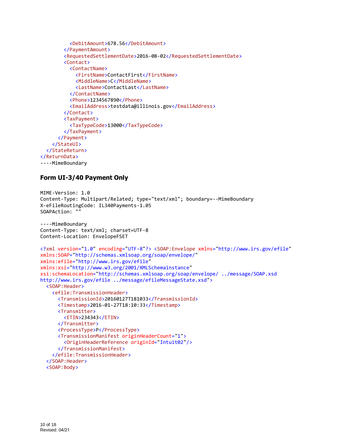```
 <DebitAmount>678.56</DebitAmount> 
         </PaymentAmount> 
         <RequestedSettlementDate>2016-08-02</RequestedSettlementDate> 
         <Contact> 
            <ContactName> 
              <FirstName>ContactFirst</FirstName> 
              <MiddleName>C</MiddleName> 
              <LastName>ContactLast</LastName> 
            </ContactName> 
            <Phone>1234567890</Phone> 
            <EmailAddress>testdata@illinois.gov</EmailAddress> 
         </Contact> 
         <TaxPayment> 
            <TaxTypeCode>13000</TaxTypeCode> 
         </TaxPayment> 
      </Payment> 
     </StateUI> 
   </StateReturn> 
</ReturnData>
----MimeBoundary
```
#### **Form UI-3/40 Payment Only**

```
MIME-Version: 1.0 
Content-Type: Multipart/Related; type="text/xml"; boundary=--MimeBoundary 
X-eFileRoutingCode: IL340Payments-1.05
SOAPAction: ""
----MimeBoundary 
Content-Type: text/xml; charset=UTF-8 
Content-Location: EnvelopeFSET 
<?xml version="1.0" encoding="UTF-8"?> <SOAP:Envelope xmlns="http://www.irs.gov/efile"
xmlns:SOAP="http://schemas.xmlsoap.org/soap/envelope/"
xmlns:efile="http://www.irs.gov/efile"
xmlns:xsi="http://www.w3.org/2001/XMLSchemainstance"
xsi:schemaLocation="http://schemas.xmlsoap.org/soap/envelope/ ../message/SOAP.xsd 
http://www.irs.gov/efile ../message/efileMessageState.xsd"> 
   <SOAP:Header> 
     <efile:TransmissionHeader> 
      <TransmissionId>20160127T181033</TransmissionId> 
      <Timestamp>2016-01-27T18:10:33</Timestamp> 
      <Transmitter> 
         <ETIN>234343</ETIN> 
      </Transmitter> 
      <ProcessType>P</ProcessType> 
      <TransmissionManifest originHeaderCount="1"> 
         <OriginHeaderReference originId="Intuit02"/> 
      </TransmissionManifest> 
     </efile:TransmissionHeader> 
   </SOAP:Header> 
   <SOAP:Body>
```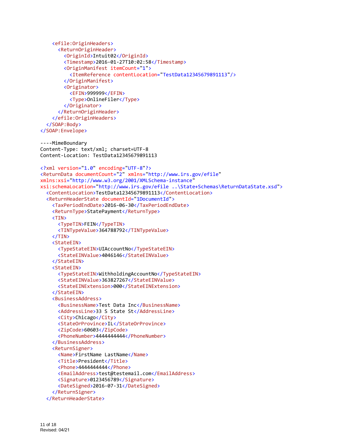```
 <efile:OriginHeaders> 
      <ReturnOriginHeader> 
         <OriginId>Intuit02</OriginId> 
         <Timestamp>2016-01-27T10:02:58</Timestamp> 
         <OriginManifest itemCount="1"> 
           <ItemReference contentLocation="TestData12345679891113"/> 
         </OriginManifest> 
         <Originator> 
           <EFIN>999999</EFIN> 
           <Type>OnlineFiler</Type> 
         </Originator> 
      </ReturnOriginHeader> 
     </efile:OriginHeaders> 
   </SOAP:Body> 
</SOAP:Envelope> 
----MimeBoundary 
Content-Type: text/xml; charset=UTF-8 
Content-Location: TestData12345679891113 
<?xml version="1.0" encoding="UTF-8"?> 
<ReturnData documentCount="2" xmlns="http://www.irs.gov/efile"
xmlns:xsi="http://www.w3.org/2001/XMLSchema-instance"
xsi:schemaLocation="http://www.irs.gov/efile ..\State+Schemas\ReturnDataState.xsd"> 
   <ContentLocation>TestData12345679891113</ContentLocation> 
   <ReturnHeaderState documentId="1DocumentId"> 
     <TaxPeriodEndDate>2016-06-30</TaxPeriodEndDate> 
     <ReturnType>StatePayment</ReturnType> 
     <TIN> 
      <TypeTIN>FEIN</TypeTIN> 
      <TINTypeValue>364788792</TINTypeValue> 
     </TIN> 
     <StateEIN> 
      <TypeStateEIN>UIAccountNo</TypeStateEIN> 
      <StateEINValue>4046146</StateEINValue> 
     </StateEIN> 
     <StateEIN> 
      <TypeStateEIN>WithholdingAccountNo</TypeStateEIN> 
      <StateEINValue>363827267</StateEINValue> 
      <StateEINExtension>000</StateEINExtension> 
     </StateEIN> 
     <BusinessAddress> 
      <BusinessName>Test Data Inc</BusinessName> 
      <AddressLine>33 S State St</AddressLine> 
      <City>Chicago</City> 
      <StateOrProvince>IL</StateOrProvince> 
      <ZipCode>60603</ZipCode> 
      <PhoneNumber>4444444444</PhoneNumber> 
     </BusinessAddress> 
     <ReturnSigner> 
      <Name>FirstName LastName</Name> 
      <Title>President</Title> 
      <Phone>4444444444</Phone> 
      <EmailAddress>test@testemail.com</EmailAddress> 
      <Signature>0123456789</Signature> 
      <DateSigned>2016-07-31</DateSigned> 
     </ReturnSigner> 
   </ReturnHeaderState>
```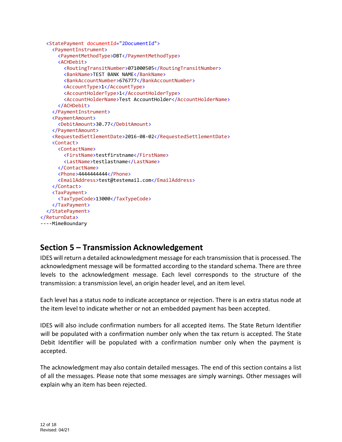```
 <StatePayment documentId="2DocumentId"> 
     <PaymentInstrument> 
      <PaymentMethodType>DBT</PaymentMethodType> 
      <ACHDebit> 
         <RoutingTransitNumber>071000505</RoutingTransitNumber> 
         <BankName>TEST BANK NAME</BankName> 
         <BankAccountNumber>676777</BankAccountNumber> 
        <AccountType>1</AccountType> 
         <AccountHolderType>1</AccountHolderType> 
         <AccountHolderName>Test AccountHolder</AccountHolderName> 
      </ACHDebit> 
     </PaymentInstrument> 
     <PaymentAmount> 
      <DebitAmount>30.77</DebitAmount> 
     </PaymentAmount> 
     <RequestedSettlementDate>2016-08-02</RequestedSettlementDate> 
     <Contact> 
      <ContactName> 
         <FirstName>testfirstname</FirstName> 
         <LastName>testlastname</LastName> 
      </ContactName> 
      <Phone>4444444444</Phone> 
      <EmailAddress>test@testemail.com</EmailAddress> 
     </Contact> 
     <TaxPayment> 
      <TaxTypeCode>13000</TaxTypeCode> 
     </TaxPayment> 
   </StatePayment> 
</ReturnData> 
----MimeBoundary
```
# **Section 5 – Transmission Acknowledgement**

IDES will return a detailed acknowledgment message for each transmission that is processed. The acknowledgment message will be formatted according to the standard schema. There are three levels to the acknowledgment message. Each level corresponds to the structure of the transmission: a transmission level, an origin header level, and an item level.

Each level has a status node to indicate acceptance or rejection. There is an extra status node at the item level to indicate whether or not an embedded payment has been accepted.

IDES will also include confirmation numbers for all accepted items. The State Return Identifier will be populated with a confirmation number only when the tax return is accepted. The State Debit Identifier will be populated with a confirmation number only when the payment is accepted.

The acknowledgment may also contain detailed messages. The end of this section contains a list of all the messages. Please note that some messages are simply warnings. Other messages will explain why an item has been rejected.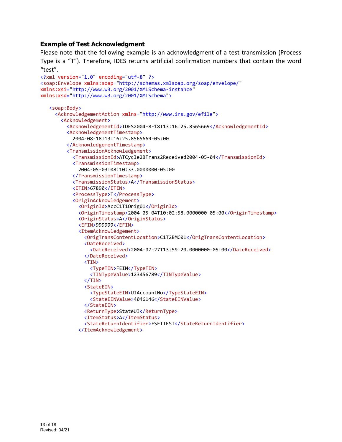#### **Example of Test Acknowledgment**

Please note that the following example is an acknowledgment of a test transmission (Process Type is a "T"). Therefore, IDES returns artificial confirmation numbers that contain the word "test".

```
<?xml version="1.0" encoding="utf-8" ?> 
<soap:Envelope xmlns:soap="http://schemas.xmlsoap.org/soap/envelope/"
xmlns:xsi="http://www.w3.org/2001/XMLSchema-instance"
xmlns:xsd="http://www.w3.org/2001/XMLSchema"> 
    <soap:Body> 
      <AcknowledgementAction xmlns="http://www.irs.gov/efile"> 
       <Acknowledgement> 
          <AcknowledgementId>IDES2004-8-18T13:16:25.8565669</AcknowledgementId> 
          <AcknowledgementTimestamp> 
           2004-08-18T13:16:25.8565669-05:00 
          </AcknowledgementTimestamp> 
          <TransmissionAcknowledgement> 
           <TransmissionId>ATCycle2BTrans2Received2004-05-04</TransmissionId> 
           <TransmissionTimestamp> 
               2004-05-03T08:10:33.0000000-05:00 
           </TransmissionTimestamp> 
           <TransmissionStatus>A</TransmissionStatus> 
           <ETIN>67890</ETIN> 
           <ProcessType>T</ProcessType> 
           <OriginAcknowledgement> 
               <OriginId>AccC1T1Orig01</OriginId> 
               <OriginTimestamp>2004-05-04T10:02:58.0000000-05:00</OriginTimestamp> 
               <OriginStatus>A</OriginStatus> 
               <EFIN>999999</EFIN> 
               <ItemAcknowledgement> 
               <OrigTransContentLocation>C1T2BMC01</OrigTransContentLocation> 
               <DateReceived> 
                   <DateReceived>2004-07-27T13:59:20.0000000-05:00</DateReceived> 
               </DateReceived> 
               <TIN> 
                   <TypeTIN>FEIN</TypeTIN> 
                   <TINTypeValue>123456789</TINTypeValue> 
                </TIN> 
               <StateEIN> 
                   <TypeStateEIN>UIAccountNo</TypeStateEIN> 
                   <StateEINValue>4046146</StateEINValue> 
                </StateEIN> 
               <ReturnType>StateUI</ReturnType> 
               <ItemStatus>A</ItemStatus> 
                <StateReturnIdentifier>FSETTEST</StateReturnIdentifier> 
               </ItemAcknowledgement>
```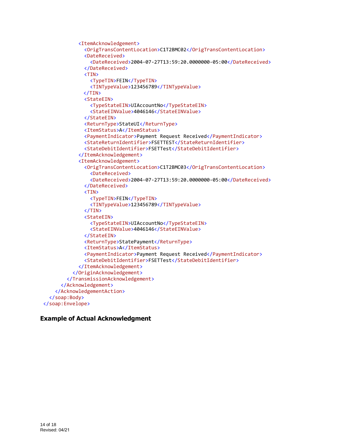```
 <ItemAcknowledgement> 
               <OrigTransContentLocation>C1T2BMC02</OrigTransContentLocation> 
               <DateReceived> 
                  <DateReceived>2004-07-27T13:59:20.0000000-05:00</DateReceived> 
                </DateReceived> 
              <TIN> 
                  <TypeTIN>FEIN</TypeTIN> 
                  <TINTypeValue>123456789</TINTypeValue> 
              </TIN> 
              <StateEIN> 
                  <TypeStateEIN>UIAccountNo</TypeStateEIN> 
                  <StateEINValue>4046146</StateEINValue> 
               </StateEIN> 
               <ReturnType>StateUI</ReturnType> 
               <ItemStatus>A</ItemStatus> 
               <PaymentIndicator>Payment Request Received</PaymentIndicator> 
               <StateReturnIdentifier>FSETTEST</StateReturnIdentifier> 
               <StateDebitIdentifier>FSETTest</StateDebitIdentifier> 
             </ItemAcknowledgement> 
              <ItemAcknowledgement> 
               <OrigTransContentLocation>C1T2BMC03</OrigTransContentLocation> 
                  <DateReceived> 
                  <DateReceived>2004-07-27T13:59:20.0000000-05:00</DateReceived> 
               </DateReceived> 
              <TIN> 
                  <TypeTIN>FEIN</TypeTIN> 
                  <TINTypeValue>123456789</TINTypeValue> 
               </TIN> 
              <StateEIN> 
                  <TypeStateEIN>UIAccountNo</TypeStateEIN> 
                  <StateEINValue>4046146</StateEINValue> 
               </StateEIN> 
               <ReturnType>StatePayment</ReturnType> 
               <ItemStatus>A</ItemStatus> 
               <PaymentIndicator>Payment Request Received</PaymentIndicator> 
               <StateDebitIdentifier>FSETTest</StateDebitIdentifier> 
             </ItemAcknowledgement> 
          </OriginAcknowledgement> 
         </TransmissionAcknowledgement> 
      </Acknowledgement> 
     </AcknowledgementAction> 
   </soap:Body> 
</soap:Envelope>
```
#### **Example of Actual Acknowledgment**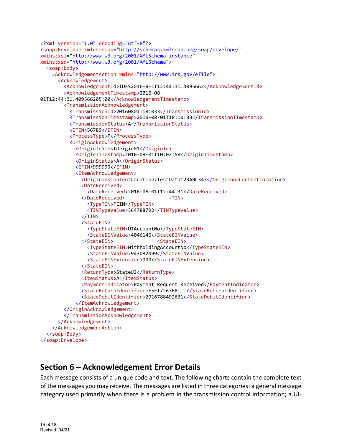```
<?xml version="1.0" encoding="utf-8"?> 
<soap:Envelope xmlns:soap="http://schemas.xmlsoap.org/soap/envelope/"
xmlns:xsi="http://www.w3.org/2001/XMLSchema-instance"
xmlns:xsd="http://www.w3.org/2001/XMLSchema"> 
   <soap:Body> 
     <AcknowledgementAction xmlns="http://www.irs.gov/efile"> 
      <Acknowledgement> 
         <AcknowledgementId>IDES2016-8-1T12:44:31.4095662</AcknowledgementId> 
         <AcknowledgementTimestamp>2016-08-
01T12:44:31.409566205:00</AcknowledgementTimestamp> 
         <TransmissionAcknowledgement> 
           <TransmissionId>20160801T181033</TransmissionId> 
           <TransmissionTimestamp>2016-08-01T18:10:33</TransmissionTimestamp> 
           <TransmissionStatus>A</TransmissionStatus> 
           <ETIN>56789</ETIN> 
           <ProcessType>P</ProcessType> 
           <OriginAcknowledgement> 
             <OriginId>TestOrigin01</OriginId> 
             <OriginTimestamp>2016-08-01T10:02:58</OriginTimestamp> 
             <OriginStatus>A</OriginStatus> 
             <EFIN>999999</EFIN> 
             <ItemAcknowledgement> 
               <OrigTransContentLocation>TestData123ABC343</OrigTransContentLocation> 
               <DateReceived> 
                  <DateReceived>2016-08-01T12:44:31</DateReceived> 
               </DateReceived> <TIN> 
                  <TypeTIN>FEIN</TypeTIN> 
                  <TINTypeValue>364788792</TINTypeValue> 
               </TIN> 
               <StateEIN> 
                  <TypeStateEIN>UIAccountNo</TypeStateEIN> 
                  <StateEINValue>4046146</StateEINValue> 
              </StateEIN></StateEIN>
                  <TypeStateEIN>WithholdingAccountNo</TypeStateEIN> 
                 <StateEINValue>943082099</StateEINValue> 
                  <StateEINExtension>000</StateEINExtension> 
               </StateEIN> 
               <ReturnType>StateUI</ReturnType> 
               <ItemStatus>A</ItemStatus> 
               <PaymentIndicator>Payment Request Received</PaymentIndicator> 
               <StateReturnIdentifier>FSET726768 </StateReturnIdentifier> 
               <StateDebitIdentifier>2016788492631</StateDebitIdentifier> 
             </ItemAcknowledgement> 
         </OriginAcknowledgement> 
         </TransmissionAcknowledgement> 
      </Acknowledgement> 
     </AcknowledgementAction> 
   </soap:Body> 
</soap:Envelope>
```
# **Section 6 – Acknowledgement Error Details**

Each message consists of a unique code and text. The following charts contain the complete text of the messages you may receive. The messages are listed in three categories: a general message category used primarily when there is a problem in the transmission control information; a UI-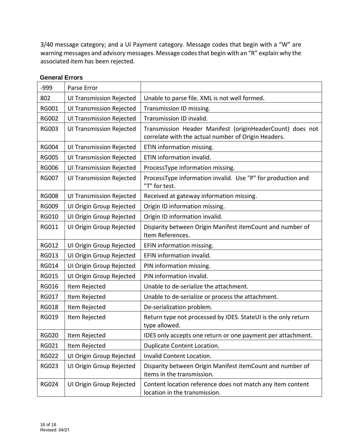3/40 message category; and a UI Payment category. Message codes that begin with a "W" are warning messages and advisory messages. Message codes that begin with an "R" explain why the associated item has been rejected.

| $-999$       | Parse Error                     |                                                                                                                  |
|--------------|---------------------------------|------------------------------------------------------------------------------------------------------------------|
| 802          | <b>UI Transmission Rejected</b> | Unable to parse file. XML is not well formed.                                                                    |
| <b>RG001</b> | <b>UI Transmission Rejected</b> | Transmission ID missing.                                                                                         |
| <b>RG002</b> | <b>UI Transmission Rejected</b> | Transmission ID invalid.                                                                                         |
| <b>RG003</b> | <b>UI Transmission Rejected</b> | Transmission Header Manifest (originHeaderCount) does not<br>correlate with the actual number of Origin Headers. |
| <b>RG004</b> | <b>UI Transmission Rejected</b> | ETIN information missing.                                                                                        |
| <b>RG005</b> | <b>UI Transmission Rejected</b> | ETIN information invalid.                                                                                        |
| <b>RG006</b> | <b>UI Transmission Rejected</b> | ProcessType information missing.                                                                                 |
| <b>RG007</b> | <b>UI Transmission Rejected</b> | ProcessType information invalid. Use "P" for production and<br>"T" for test.                                     |
| <b>RG008</b> | <b>UI Transmission Rejected</b> | Received at gateway information missing.                                                                         |
| <b>RG009</b> | UI Origin Group Rejected        | Origin ID information missing.                                                                                   |
| <b>RG010</b> | UI Origin Group Rejected        | Origin ID information invalid.                                                                                   |
| <b>RG011</b> | UI Origin Group Rejected        | Disparity between Origin Manifest itemCount and number of<br>Item References.                                    |
| <b>RG012</b> | UI Origin Group Rejected        | EFIN information missing.                                                                                        |
| <b>RG013</b> | UI Origin Group Rejected        | EFIN information invalid.                                                                                        |
| <b>RG014</b> | UI Origin Group Rejected        | PIN information missing.                                                                                         |
| <b>RG015</b> | UI Origin Group Rejected        | PIN information invalid.                                                                                         |
| <b>RG016</b> | Item Rejected                   | Unable to de-serialize the attachment.                                                                           |
| <b>RG017</b> | Item Rejected                   | Unable to de-serialize or process the attachment.                                                                |
| <b>RG018</b> | Item Rejected                   | De-serialization problem.                                                                                        |
| <b>RG019</b> | Item Rejected                   | Return type not processed by IDES. StateUI is the only return<br>type allowed.                                   |
| <b>RG020</b> | Item Rejected                   | IDES only accepts one return or one payment per attachment.                                                      |
| <b>RG021</b> | Item Rejected                   | Duplicate Content Location.                                                                                      |
| <b>RG022</b> | UI Origin Group Rejected        | Invalid Content Location.                                                                                        |
| <b>RG023</b> | UI Origin Group Rejected        | Disparity between Origin Manifest itemCount and number of<br>items in the transmission.                          |
| <b>RG024</b> | UI Origin Group Rejected        | Content location reference does not match any item content<br>location in the transmission.                      |

#### **General Errors**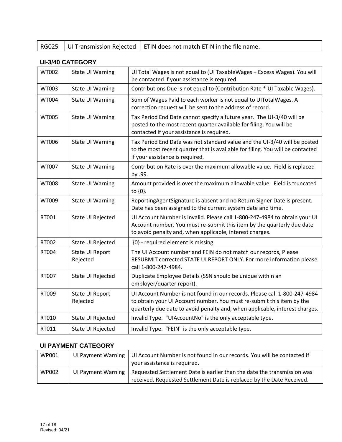|  |  | $\vert$ RG025 $\vert$ UI Transmission Rejected $\vert$ ETIN does not match ETIN in the file name. |
|--|--|---------------------------------------------------------------------------------------------------|
|--|--|---------------------------------------------------------------------------------------------------|

#### **UI-3/40 CATEGORY**

| <b>WT002</b> | <b>State UI Warning</b>            | UI Total Wages is not equal to (UI TaxableWages + Excess Wages). You will<br>be contacted if your assistance is required.                                                                                                         |
|--------------|------------------------------------|-----------------------------------------------------------------------------------------------------------------------------------------------------------------------------------------------------------------------------------|
| WT003        | <b>State UI Warning</b>            | Contributions Due is not equal to (Contribution Rate * UI Taxable Wages).                                                                                                                                                         |
| <b>WT004</b> | <b>State UI Warning</b>            | Sum of Wages Paid to each worker is not equal to UITotalWages. A<br>correction request will be sent to the address of record.                                                                                                     |
| <b>WT005</b> | <b>State UI Warning</b>            | Tax Period End Date cannot specify a future year. The UI-3/40 will be<br>posted to the most recent quarter available for filing. You will be<br>contacted if your assistance is required.                                         |
| WT006        | <b>State UI Warning</b>            | Tax Period End Date was not standard value and the UI-3/40 will be posted<br>to the most recent quarter that is available for filing. You will be contacted<br>if your assistance is required.                                    |
| <b>WT007</b> | <b>State UI Warning</b>            | Contribution Rate is over the maximum allowable value. Field is replaced<br>by .99.                                                                                                                                               |
| <b>WT008</b> | <b>State UI Warning</b>            | Amount provided is over the maximum allowable value. Field is truncated<br>to $\{0\}$ .                                                                                                                                           |
| WT009        | <b>State UI Warning</b>            | ReportingAgentSignature is absent and no Return Signer Date is present.<br>Date has been assigned to the current system date and time.                                                                                            |
| RT001        | State UI Rejected                  | UI Account Number is invalid. Please call 1-800-247-4984 to obtain your UI<br>Account number. You must re-submit this item by the quarterly due date<br>to avoid penalty and, when applicable, interest charges.                  |
| RT002        | State UI Rejected                  | {0} - required element is missing.                                                                                                                                                                                                |
| RT004        | <b>State UI Report</b><br>Rejected | The UI Account number and FEIN do not match our records, Please<br>RESUBMIT corrected STATE UI REPORT ONLY. For more information please<br>call 1-800-247-4984.                                                                   |
| RT007        | State UI Rejected                  | Duplicate Employee Details (SSN should be unique within an<br>employer/quarter report).                                                                                                                                           |
| RT009        | <b>State UI Report</b><br>Rejected | UI Account Number is not found in our records. Please call 1-800-247-4984<br>to obtain your UI Account number. You must re-submit this item by the<br>quarterly due date to avoid penalty and, when applicable, interest charges. |
| RT010        | State UI Rejected                  | Invalid Type. "UIAccountNo" is the only acceptable type.                                                                                                                                                                          |
| RT011        | State UI Rejected                  | Invalid Type. "FEIN" is the only acceptable type.                                                                                                                                                                                 |

#### **UI PAYMENT CATEGORY**

| WP001        | UI Payment Warning | UI Account Number is not found in our records. You will be contacted if<br>your assistance is required.                                          |
|--------------|--------------------|--------------------------------------------------------------------------------------------------------------------------------------------------|
| <b>WP002</b> | UI Payment Warning | Requested Settlement Date is earlier than the date the transmission was<br>received. Requested Settlement Date is replaced by the Date Received. |